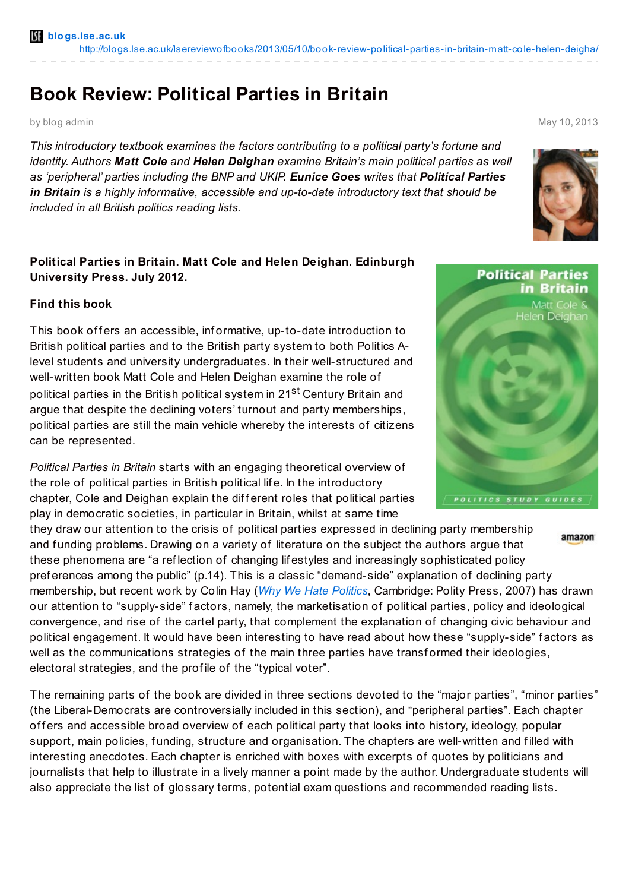## **Book Review: Political Parties in Britain**

by blog admin May 10, 2013

*This introductory textbook examines the factors contributing to a political party's fortune and identity. Authors Matt Cole and Helen Deighan examine Britain's main political parties as well as 'peripheral' parties including the BNP and UKIP. Eunice Goes writes that Political Parties in Britain is a highly informative, accessible and up-to-date introductory text that should be included in all British politics reading lists.*

## **Political Parties in Britain. Matt Cole and Helen Deighan. Edinburgh University Press. July 2012.**

## **Find this book**

This book offers an accessible, informative, up-to-date introduction to British political parties and to the British party system to both Politics Alevel students and university undergraduates. In their well-structured and well-written book Matt Cole and Helen Deighan examine the role of political parties in the British political system in 21<sup>st</sup> Century Britain and argue that despite the declining voters' turnout and party memberships, political parties are still the main vehicle whereby the interests of citizens can be represented.

*Political Parties in Britain* starts with an engaging theoretical overview of the role of political parties in British political lif e. In the introductory chapter, Cole and Deighan explain the different roles that political parties play in democratic societies, in particular in Britain, whilst at same time

they draw our attention to the crisis of political parties expressed in declining party membership amazon and funding problems. Drawing on a variety of literature on the subject the authors argue that these phenomena are "a ref lection of changing lif estyles and increasingly sophisticated policy pref erences among the public" (p.14). This is a classic "demand-side" explanation of declining party membership, but recent work by Colin Hay (*Why We Hate [Politics](http://amzn.to/133imym)*, Cambridge: Polity Press, 2007) has drawn our attention to "supply-side" f actors, namely, the marketisation of political parties, policy and ideological convergence, and rise of the cartel party, that complement the explanation of changing civic behaviour and political engagement. It would have been interesting to have read about how these "supply-side" f actors as well as the communications strategies of the main three parties have transformed their ideologies, electoral strategies, and the prof ile of the "typical voter".

The remaining parts of the book are divided in three sections devoted to the "major parties", "minor parties" (the Liberal-Democrats are controversially included in this section), and "peripheral parties". Each chapter offers and accessible broad overview of each political party that looks into history, ideology, popular support, main policies, funding, structure and organisation. The chapters are well-written and filled with interesting anecdotes. Each chapter is enriched with boxes with excerpts of quotes by politicians and journalists that help to illustrate in a lively manner a point made by the author. Undergraduate students will also appreciate the list of glossary terms, potential exam questions and recommended reading lists.





POLITICS STUDY GUIDES